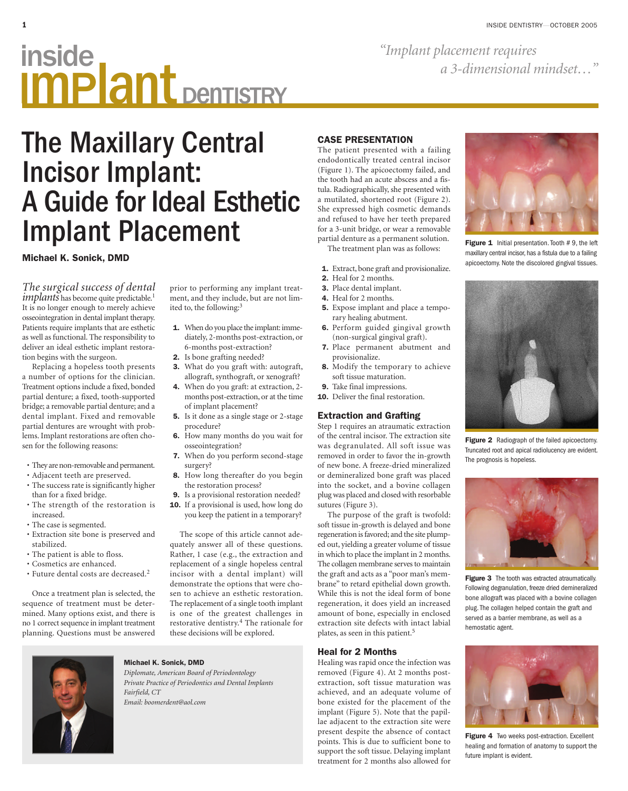# **inside**<br>a 3-dimensional mindset..." Inside<br>Implant DenTISTRY

*"Implant placement requires* 

## The Maxillary Central Incisor Implant: A Guide for Ideal Esthetic Implant Placement

prior to performing any implant treatment, and they include, but are not lim-

**1.** When do you place the implant: immediately, 2-months post-extraction, or

**3.** What do you graft with: autograft, allograft, synthograft, or xenograft? **4.** When do you graft: at extraction, 2 months post-extraction, or at the time

**5.** Is it done as a single stage or 2-stage

**6.** How many months do you wait for

**7.** When do you perform second-stage

**8.** How long thereafter do you begin

**9.** Is a provisional restoration needed? **10.** If a provisional is used, how long do you keep the patient in a temporary?

The scope of this article cannot adequately answer all of these questions. Rather, 1 case (e.g., the extraction and replacement of a single hopeless central incisor with a dental implant) will demonstrate the options that were chosen to achieve an esthetic restoration. The replacement of a single tooth implant is one of the greatest challenges in restorative dentistry.<sup>4</sup> The rationale for

the restoration process?

these decisions will be explored.

6-months post-extraction? **2.** Is bone grafting needed?

of implant placement?

procedure?

surgery?

osseointegration?

ited to, the following:<sup>3</sup>

**Michael K. Sonick, DMD**

*The surgical success of dental implants* has become quite predictable.<sup>1</sup> It is no longer enough to merely achieve osseointegration in dental implant therapy. Patients require implants that are esthetic as well as functional. The responsibility to deliver an ideal esthetic implant restoration begins with the surgeon.

Replacing a hopeless tooth presents a number of options for the clinician. Treatment options include a fixed, bonded partial denture; a fixed, tooth-supported bridge; a removable partial denture; and a dental implant. Fixed and removable partial dentures are wrought with problems. Implant restorations are often chosen for the following reasons:

- They are non-removable and permanent.
- Adjacent teeth are preserved. • The success rate is significantly higher
- than for a fixed bridge. • The strength of the restoration is increased.
- The case is segmented.
- Extraction site bone is preserved and stabilized.
- The patient is able to floss.
- Cosmetics are enhanced.
- Future dental costs are decreased.<sup>2</sup>

Once a treatment plan is selected, the sequence of treatment must be determined. Many options exist, and there is no 1 correct sequence in implant treatment planning. Questions must be answered



#### **Michael K. Sonick, DMD**

*Diplomate, American Board of Periodontology Private Practice of Periodontics and Dental Implants Fairfield, CT Email: boomerdent@aol.com*

#### **CASE PRESENTATION**

The patient presented with a failing endodontically treated central incisor (Figure 1). The apicoectomy failed, and the tooth had an acute abscess and a fistula. Radiographically, she presented with a mutilated, shortened root (Figure 2). She expressed high cosmetic demands and refused to have her teeth prepared for a 3-unit bridge, or wear a removable partial denture as a permanent solution.

The treatment plan was as follows:

- **1.** Extract, bone graft and provisionalize.
- **2.** Heal for 2 months.
- **3.** Place dental implant.
- **4.** Heal for 2 months.
- **5.** Expose implant and place a temporary healing abutment.
- **6.** Perform guided gingival growth (non-surgical gingival graft).
- **7.** Place permanent abutment and provisionalize.
- **8.** Modify the temporary to achieve soft tissue maturation.
- **9.** Take final impressions.
- **10.** Deliver the final restoration.

#### **Extraction and Grafting**

Step 1 requires an atraumatic extraction of the central incisor. The extraction site was degranulated. All soft issue was removed in order to favor the in-growth of new bone. A freeze-dried mineralized or demineralized bone graft was placed into the socket, and a bovine collagen plug was placed and closed with resorbable sutures (Figure 3).

The purpose of the graft is twofold: soft tissue in-growth is delayed and bone regeneration is favored; and the site plumped out, yielding a greater volume of tissue in which to place the implant in 2 months. The collagen membrane serves to maintain the graft and acts as a "poor man's membrane" to retard epithelial down growth. While this is not the ideal form of bone regeneration, it does yield an increased amount of bone, especially in enclosed extraction site defects with intact labial plates, as seen in this patient.<sup>5</sup>

#### **Heal for 2 Months**

Healing was rapid once the infection was removed (Figure 4). At 2 months postextraction, soft tissue maturation was achieved, and an adequate volume of bone existed for the placement of the implant (Figure 5). Note that the papillae adjacent to the extraction site were present despite the absence of contact points. This is due to sufficient bone to support the soft tissue. Delaying implant treatment for 2 months also allowed for



**Figure 1** Initial presentation. Tooth #9, the left maxillary central incisor, has a fistula due to a failing apicoectomy. Note the discolored gingival tissues.



**Figure 2** Radiograph of the failed apicoectomy. Truncated root and apical radiolucency are evident. The prognosis is hopeless.



**Figure 3** The tooth was extracted atraumatically. Following degranulation, freeze dried demineralized bone allograft was placed with a bovine collagen plug. The collagen helped contain the graft and served as a barrier membrane, as well as a hemostatic agent.



**Figure 4** Two weeks post-extraction. Excellent healing and formation of anatomy to support the future implant is evident.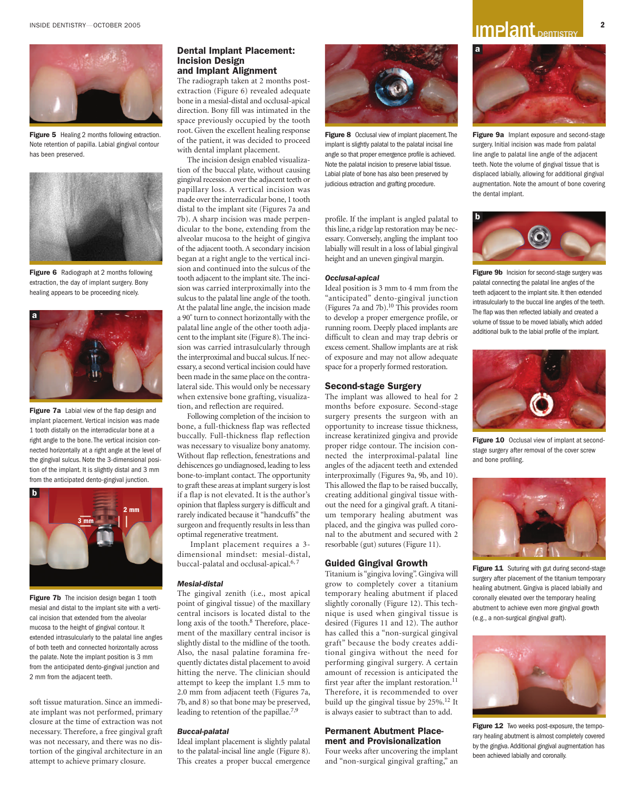

**Figure 5** Healing 2 months following extraction. Note retention of papilla. Labial gingival contour has been preserved.



**Figure 6** Radiograph at 2 months following extraction, the day of implant surgery. Bony healing appears to be proceeding nicely.



**Figure 7a** Labial view of the flap design and implant placement. Vertical incision was made 1 tooth distally on the interradicular bone at a right angle to the bone. The vertical incision connected horizontally at a right angle at the level of the gingival sulcus. Note the 3-dimensional position of the implant. It is slightly distal and 3 mm from the anticipated dento-gingival junction.



**Figure 7b** The incision design began 1 tooth mesial and distal to the implant site with a vertical incision that extended from the alveolar mucosa to the height of gingival contour. It extended intrasulcularly to the palatal line angles of both teeth and connected horizontally across the palate. Note the implant position is 3 mm from the anticipated dento-gingival junction and 2 mm from the adjacent teeth.

soft tissue maturation. Since an immediate implant was not performed, primary closure at the time of extraction was not necessary. Therefore, a free gingival graft was not necessary, and there was no distortion of the gingival architecture in an attempt to achieve primary closure.

#### **Dental Implant Placement: Incision Design and Implant Alignment**

The radiograph taken at 2 months postextraction (Figure 6) revealed adequate bone in a mesial-distal and occlusal-apical direction. Bony fill was intimated in the space previously occupied by the tooth root. Given the excellent healing response of the patient, it was decided to proceed with dental implant placement.

The incision design enabled visualization of the buccal plate, without causing gingival recession over the adjacent teeth or papillary loss. A vertical incision was made over the interradicular bone, 1 tooth distal to the implant site (Figures 7a and 7b). A sharp incision was made perpendicular to the bone, extending from the alveolar mucosa to the height of gingiva of the adjacent tooth. A secondary incision began at a right angle to the vertical incision and continued into the sulcus of the tooth adjacent to the implant site. The incision was carried interproximally into the sulcus to the palatal line angle of the tooth. At the palatal line angle, the incision made a 90º turn to connect horizontally with the palatal line angle of the other tooth adjacent to the implant site (Figure 8). The incision was carried intrasulcularly through the interproximal and buccal sulcus. If necessary, a second vertical incision could have been made in the same place on the contralateral side. This would only be necessary when extensive bone grafting, visualization, and reflection are required.

Following completion of the incision to bone, a full-thickness flap was reflected buccally. Full-thickness flap reflection was necessary to visualize bony anatomy. Without flap reflection, fenestrations and dehiscences go undiagnosed, leading to less bone-to-implant contact. The opportunity to graft these areas at implant surgery is lost if a flap is not elevated. It is the author's opinion that flapless surgery is difficult and rarely indicated because it "handcuffs" the surgeon and frequently results in less than optimal regenerative treatment.

Implant placement requires a 3 dimensional mindset: mesial-distal, buccal-palatal and occlusal-apical.<sup>6, 7</sup>

#### *Mesial-distal*

The gingival zenith (i.e., most apical point of gingival tissue) of the maxillary central incisors is located distal to the long axis of the tooth.<sup>8</sup> Therefore, placement of the maxillary central incisor is slightly distal to the midline of the tooth. Also, the nasal palatine foramina frequently dictates distal placement to avoid hitting the nerve. The clinician should attempt to keep the implant 1.5 mm to 2.0 mm from adjacent teeth (Figures 7a, 7b, and 8) so that bone may be preserved, leading to retention of the papillae.<sup>7,9</sup>

#### *Buccal-palatal*

Ideal implant placement is slightly palatal to the palatal-incisal line angle (Figure 8). This creates a proper buccal emergence



**Figure 8** Occlusal view of implant placement. The implant is slightly palatal to the palatal incisal line angle so that proper emergence profile is achieved. Note the palatal incision to preserve labial tissue. Labial plate of bone has also been preserved by judicious extraction and grafting procedure.

profile. If the implant is angled palatal to this line, a ridge lap restoration may be necessary. Conversely, angling the implant too labially will result in a loss of labial gingival height and an uneven gingival margin.

#### *Occlusal-apical*

Ideal position is 3 mm to 4 mm from the "anticipated" dento-gingival junction (Figures 7a and 7b).<sup>10</sup> This provides room to develop a proper emergence profile, or running room. Deeply placed implants are difficult to clean and may trap debris or excess cement. Shallow implants are at risk of exposure and may not allow adequate space for a properly formed restoration.

#### **Second-stage Surgery**

The implant was allowed to heal for 2 months before exposure. Second-stage surgery presents the surgeon with an opportunity to increase tissue thickness, increase keratinized gingiva and provide proper ridge contour. The incision connected the interproximal-palatal line angles of the adjacent teeth and extended interproximally (Figures 9a, 9b, and 10). This allowed the flap to be raised buccally, creating additional gingival tissue without the need for a gingival graft. A titanium temporary healing abutment was placed, and the gingiva was pulled coronal to the abutment and secured with 2 resorbable (gut) sutures (Figure 11).

#### **Guided Gingival Growth**

Titanium is "gingiva loving". Gingiva will grow to completely cover a titanium temporary healing abutment if placed slightly coronally (Figure 12). This technique is used when gingival tissue is desired (Figures 11 and 12). The author has called this a "non-surgical gingival graft" because the body creates additional gingiva without the need for performing gingival surgery. A certain amount of recession is anticipated the first year after the implant restoration. $11$ Therefore, it is recommended to over build up the gingival tissue by 25%.12 It is always easier to subtract than to add.

#### **Permanent Abutment Placement and Provisionalization**

Four weeks after uncovering the implant and "non-surgical gingival grafting," an

## INSIDE DENTISTRY—OCTOBER 2005 **2**<br>**Propistive Dentistry And Dentistry 2**



**Figure 9a** Implant exposure and second-stage surgery. Initial incision was made from palatal line angle to palatal line angle of the adjacent teeth. Note the volume of gingival tissue that is displaced labially, allowing for additional gingival augmentation. Note the amount of bone covering the dental implant.



**Figure 9b** Incision for second-stage surgery was palatal connecting the palatal line angles of the teeth adjacent to the implant site. It then extended intrasulcularly to the buccal line angles of the teeth. The flap was then reflected labially and created a volume of tissue to be moved labially, which added additional bulk to the labial profile of the implant.



Figure 10 Occlusal view of implant at secondstage surgery after removal of the cover screw and bone profiling.



**Figure 11** Suturing with gut during second-stage surgery after placement of the titanium temporary healing abutment. Gingiva is placed labially and coronally elevated over the temporary healing abutment to achieve even more gingival growth (e.g., a non-surgical gingival graft).



**Figure 12** Two weeks post-exposure, the temporary healing abutment is almost completely covered by the gingiva. Additional gingival augmentation has been achieved labially and coronally.